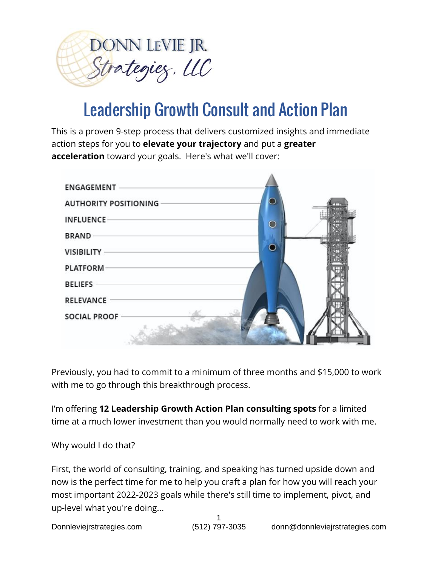

# Leadership Growth Consult and Action Plan

This is a proven 9-step process that delivers customized insights and immediate action steps for you to **elevate your trajectory** and put a **greater acceleration** toward your goals. Here's what we'll cover:



Previously, you had to commit to a minimum of three months and \$15,000 to work with me to go through this breakthrough process.

I'm offering **12 Leadership Growth Action Plan consulting spots** for a limited time at a much lower investment than you would normally need to work with me.

Why would I do that?

First, the world of consulting, training, and speaking has turned upside down and now is the perfect time for me to help you craft a plan for how you will reach your most important 2022-2023 goals while there's still time to implement, pivot, and up-level what you're doing...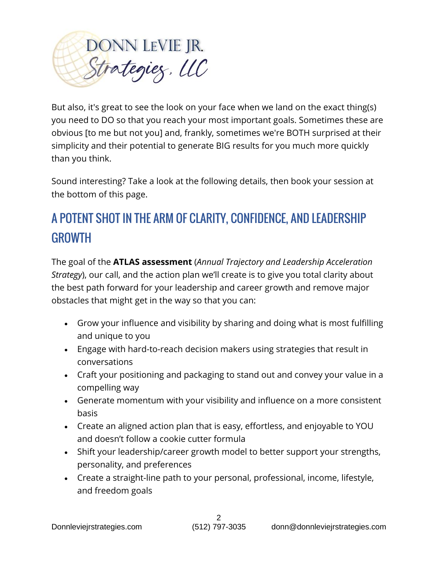

But also, it's great to see the look on your face when we land on the exact thing(s) you need to DO so that you reach your most important goals. Sometimes these are obvious [to me but not you] and, frankly, sometimes we're BOTH surprised at their simplicity and their potential to generate BIG results for you much more quickly than you think.

Sound interesting? Take a look at the following details, then book your session at the bottom of this page.

# A POTENT SHOT IN THE ARM OF CLARITY, CONFIDENCE, AND LEADERSHIP GROWTH

The goal of the **ATLAS assessment** (*Annual Trajectory and Leadership Acceleration Strategy*), our call, and the action plan we'll create is to give you total clarity about the best path forward for your leadership and career growth and remove major obstacles that might get in the way so that you can:

- Grow your influence and visibility by sharing and doing what is most fulfilling and unique to you
- Engage with hard-to-reach decision makers using strategies that result in conversations
- Craft your positioning and packaging to stand out and convey your value in a compelling way
- Generate momentum with your visibility and influence on a more consistent basis
- Create an aligned action plan that is easy, effortless, and enjoyable to YOU and doesn't follow a cookie cutter formula
- Shift your leadership/career growth model to better support your strengths, personality, and preferences
- Create a straight-line path to your personal, professional, income, lifestyle, and freedom goals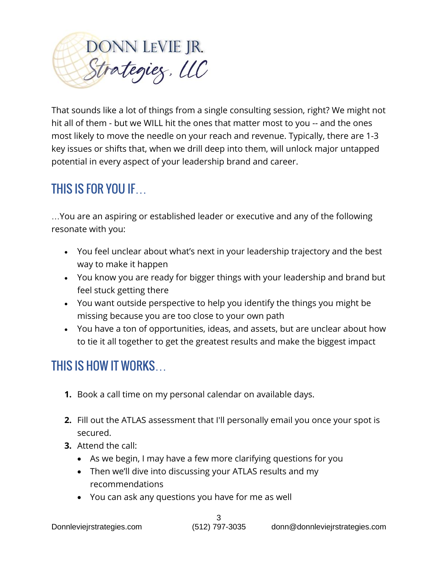

That sounds like a lot of things from a single consulting session, right? We might not hit all of them - but we WILL hit the ones that matter most to you -- and the ones most likely to move the needle on your reach and revenue. Typically, there are 1-3 key issues or shifts that, when we drill deep into them, will unlock major untapped potential in every aspect of your leadership brand and career.

#### THIS IS FOR YOU IF…

…You are an aspiring or established leader or executive and any of the following resonate with you:

- You feel unclear about what's next in your leadership trajectory and the best way to make it happen
- You know you are ready for bigger things with your leadership and brand but feel stuck getting there
- You want outside perspective to help you identify the things you might be missing because you are too close to your own path
- You have a ton of opportunities, ideas, and assets, but are unclear about how to tie it all together to get the greatest results and make the biggest impact

#### THIS IS HOW IT WORKS…

- **1.** Book a call time on my personal calendar on available days.
- secured. **2.** Fill out the ATLAS assessment that I'll personally email you once your spot is
- **3.** Attend the call:
	- As we begin, I may have a few more clarifying questions for you
	- Then we'll dive into discussing your ATLAS results and my recommendations
	- You can ask any questions you have for me as well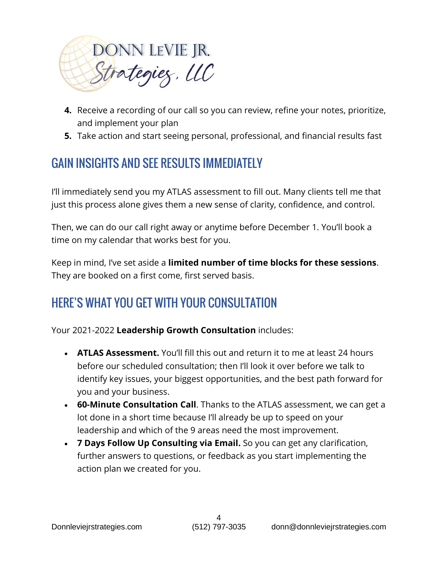

- **4.** Receive a recording of our call so you can review, refine your notes, prioritize, and implement your plan
- **5.** Take action and start seeing personal, professional, and financial results fast

# GAIN INSIGHTS AND SEE RESULTS IMMEDIATELY

I'll immediately send you my ATLAS assessment to fill out. Many clients tell me that just this process alone gives them a new sense of clarity, confidence, and control.

Then, we can do our call right away or anytime before December 1. You'll book a time on my calendar that works best for you.

Keep in mind, I've set aside a **limited number of time blocks for these sessions**. They are booked on a first come, first served basis.

# HERE'S WHAT YOU GET WITH YOUR CONSULTATION

Your 2021-2022 **Leadership Growth Consultation** includes:

- **ATLAS Assessment.** You'll fill this out and return it to me at least 24 hours before our scheduled consultation; then I'll look it over before we talk to identify key issues, your biggest opportunities, and the best path forward for you and your business.
- **60-Minute Consultation Call**. Thanks to the ATLAS assessment, we can get a lot done in a short time because I'll already be up to speed on your leadership and which of the 9 areas need the most improvement.
- **7 Days Follow Up Consulting via Email.** So you can get any clarification, further answers to questions, or feedback as you start implementing the action plan we created for you.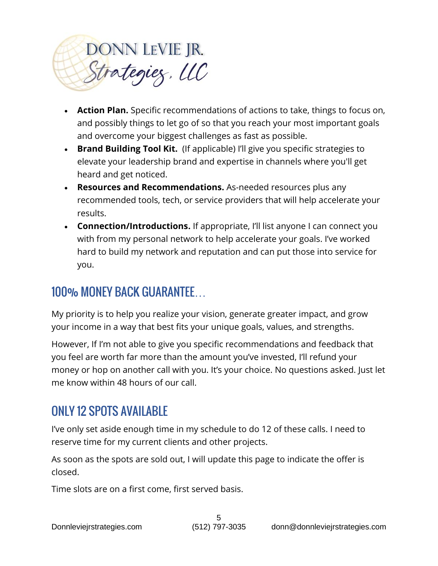

- **Action Plan.** Specific recommendations of actions to take, things to focus on, and possibly things to let go of so that you reach your most important goals and overcome your biggest challenges as fast as possible.
- **Brand Building Tool Kit.** (If applicable) I'll give you specific strategies to elevate your leadership brand and expertise in channels where you'll get heard and get noticed.
- **Resources and Recommendations.** As-needed resources plus any recommended tools, tech, or service providers that will help accelerate your results.
- **Connection/Introductions.** If appropriate, I'll list anyone I can connect you with from my personal network to help accelerate your goals. I've worked hard to build my network and reputation and can put those into service for you.

## 100% MONEY BACK GUARANTEE…

My priority is to help you realize your vision, generate greater impact, and grow your income in a way that best fits your unique goals, values, and strengths.

However, If I'm not able to give you specific recommendations and feedback that you feel are worth far more than the amount you've invested, I'll refund your money or hop on another call with you. It's your choice. No questions asked. Just let me know within 48 hours of our call.

#### ONLY 12 SPOTS AVAILABLE

I've only set aside enough time in my schedule to do 12 of these calls. I need to reserve time for my current clients and other projects.

As soon as the spots are sold out, I will update this page to indicate the offer is closed.

Time slots are on a first come, first served basis.